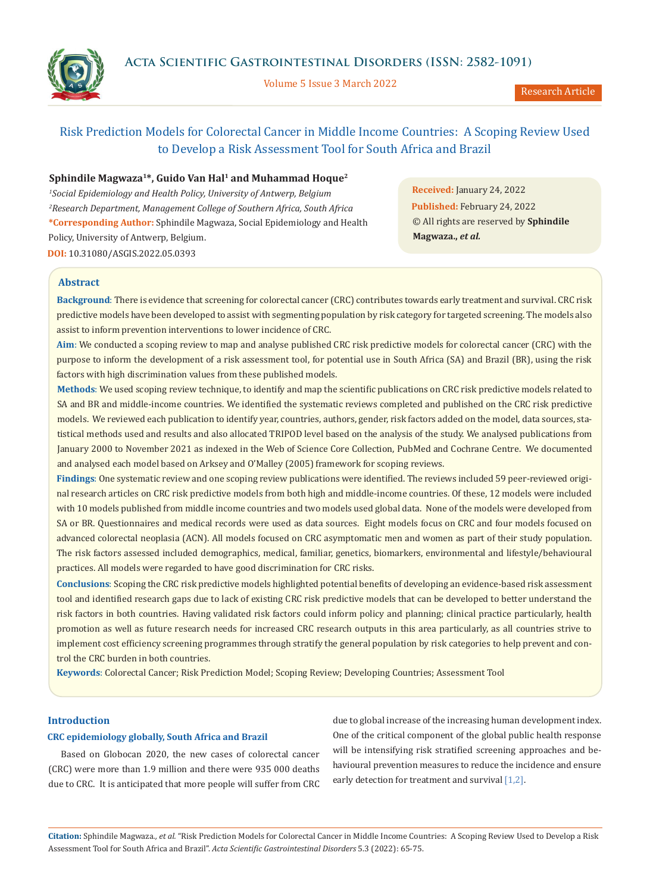**Acta Scientific Gastrointestinal Disorders (ISSN: 2582-1091)**



Volume 5 Issue 3 March 2022

Research Article

# Risk Prediction Models for Colorectal Cancer in Middle Income Countries: A Scoping Review Used to Develop a Risk Assessment Tool for South Africa and Brazil

# **Sphindile Magwaza<sup>1</sup>\*, Guido Van Hal<sup>1</sup> and Muhammad Hoque<sup>2</sup>**

*<sup>1</sup>Social Epidemiology and Health Policy, University of Antwerp, Belgium <sup>2</sup>Research Department, Management College of Southern Africa, South Africa* **\*Corresponding Author:** Sphindile Magwaza, Social Epidemiology and Health Policy, University of Antwerp, Belgium. **DOI:** [10.31080/ASGIS.2022.05.0393](https://actascientific.com/ASGIS/pdf/ASGIS-05-0393.pdf)

**Received:** January 24, 2022 **Published:** February 24, 2022 © All rights are reserved by **Sphindile Magwaza.,** *et al.* 

# **Abstract**

**Background**: There is evidence that screening for colorectal cancer (CRC) contributes towards early treatment and survival. CRC risk predictive models have been developed to assist with segmenting population by risk category for targeted screening. The models also assist to inform prevention interventions to lower incidence of CRC.

**Aim**: We conducted a scoping review to map and analyse published CRC risk predictive models for colorectal cancer (CRC) with the purpose to inform the development of a risk assessment tool, for potential use in South Africa (SA) and Brazil (BR), using the risk factors with high discrimination values from these published models.

**Methods**: We used scoping review technique, to identify and map the scientific publications on CRC risk predictive models related to SA and BR and middle-income countries. We identified the systematic reviews completed and published on the CRC risk predictive models. We reviewed each publication to identify year, countries, authors, gender, risk factors added on the model, data sources, statistical methods used and results and also allocated TRIPOD level based on the analysis of the study. We analysed publications from January 2000 to November 2021 as indexed in the Web of Science Core Collection, PubMed and Cochrane Centre. We documented and analysed each model based on Arksey and O'Malley (2005) framework for scoping reviews.

**Findings**: One systematic review and one scoping review publications were identified. The reviews included 59 peer-reviewed original research articles on CRC risk predictive models from both high and middle-income countries. Of these, 12 models were included with 10 models published from middle income countries and two models used global data. None of the models were developed from SA or BR. Questionnaires and medical records were used as data sources. Eight models focus on CRC and four models focused on advanced colorectal neoplasia (ACN). All models focused on CRC asymptomatic men and women as part of their study population. The risk factors assessed included demographics, medical, familiar, genetics, biomarkers, environmental and lifestyle/behavioural practices. All models were regarded to have good discrimination for CRC risks.

**Conclusions**: Scoping the CRC risk predictive models highlighted potential benefits of developing an evidence-based risk assessment tool and identified research gaps due to lack of existing CRC risk predictive models that can be developed to better understand the risk factors in both countries. Having validated risk factors could inform policy and planning; clinical practice particularly, health promotion as well as future research needs for increased CRC research outputs in this area particularly, as all countries strive to implement cost efficiency screening programmes through stratify the general population by risk categories to help prevent and control the CRC burden in both countries.

**Keywords**: Colorectal Cancer; Risk Prediction Model; Scoping Review; Developing Countries; Assessment Tool

# **Introduction**

### **CRC epidemiology globally, South Africa and Brazil**

Based on Globocan 2020, the new cases of colorectal cancer (CRC) were more than 1.9 million and there were 935 000 deaths due to CRC. It is anticipated that more people will suffer from CRC

due to global increase of the increasing human development index. One of the critical component of the global public health response will be intensifying risk stratified screening approaches and behavioural prevention measures to reduce the incidence and ensure early detection for treatment and survival [1,2].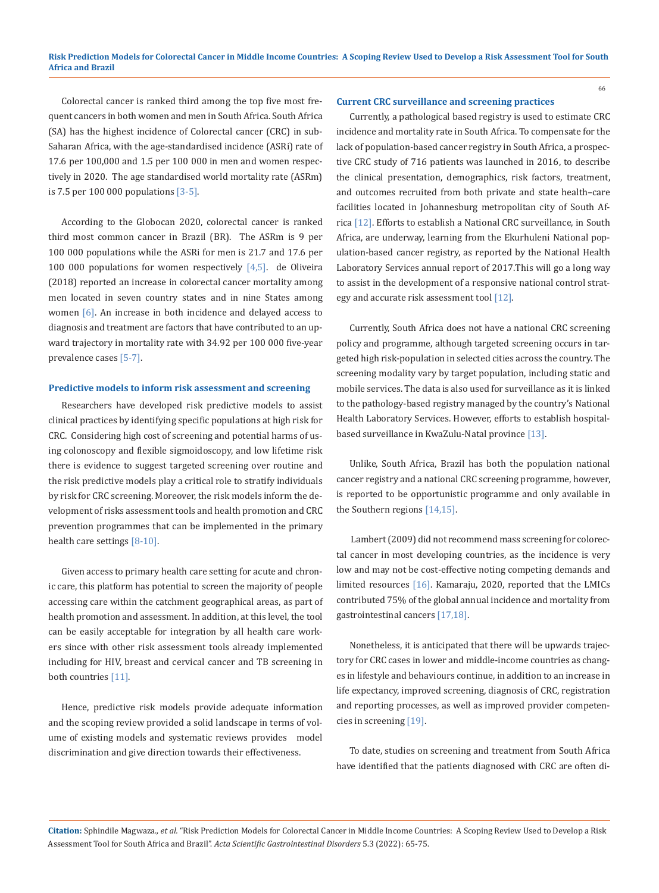Colorectal cancer is ranked third among the top five most frequent cancers in both women and men in South Africa. South Africa (SA) has the highest incidence of Colorectal cancer (CRC) in sub-Saharan Africa, with the age-standardised incidence (ASRi) rate of 17.6 per 100,000 and 1.5 per 100 000 in men and women respectively in 2020. The age standardised world mortality rate (ASRm) is 7.5 per 100 000 populations [3-5].

According to the Globocan 2020, colorectal cancer is ranked third most common cancer in Brazil (BR). The ASRm is 9 per 100 000 populations while the ASRi for men is 21.7 and 17.6 per 100 000 populations for women respectively  $[4,5]$ . de Oliveira (2018) reported an increase in colorectal cancer mortality among men located in seven country states and in nine States among women [6]. An increase in both incidence and delayed access to diagnosis and treatment are factors that have contributed to an upward trajectory in mortality rate with 34.92 per 100 000 five-year prevalence cases [5-7].

#### **Predictive models to inform risk assessment and screening**

Researchers have developed risk predictive models to assist clinical practices by identifying specific populations at high risk for CRC. Considering high cost of screening and potential harms of using colonoscopy and flexible sigmoidoscopy, and low lifetime risk there is evidence to suggest targeted screening over routine and the risk predictive models play a critical role to stratify individuals by risk for CRC screening. Moreover, the risk models inform the development of risks assessment tools and health promotion and CRC prevention programmes that can be implemented in the primary health care settings [8-10].

Given access to primary health care setting for acute and chronic care, this platform has potential to screen the majority of people accessing care within the catchment geographical areas, as part of health promotion and assessment. In addition, at this level, the tool can be easily acceptable for integration by all health care workers since with other risk assessment tools already implemented including for HIV, breast and cervical cancer and TB screening in both countries [11].

Hence, predictive risk models provide adequate information and the scoping review provided a solid landscape in terms of volume of existing models and systematic reviews provides model discrimination and give direction towards their effectiveness.

#### **Current CRC surveillance and screening practices**

Currently, a pathological based registry is used to estimate CRC incidence and mortality rate in South Africa. To compensate for the lack of population-based cancer registry in South Africa, a prospective CRC study of 716 patients was launched in 2016, to describe the clinical presentation, demographics, risk factors, treatment, and outcomes recruited from both private and state health–care facilities located in Johannesburg metropolitan city of South Africa [12]. Efforts to establish a National CRC surveillance, in South Africa, are underway, learning from the Ekurhuleni National population-based cancer registry, as reported by the National Health Laboratory Services annual report of 2017.This will go a long way to assist in the development of a responsive national control strategy and accurate risk assessment tool [12].

Currently, South Africa does not have a national CRC screening policy and programme, although targeted screening occurs in targeted high risk-population in selected cities across the country. The screening modality vary by target population, including static and mobile services. The data is also used for surveillance as it is linked to the pathology-based registry managed by the country's National Health Laboratory Services. However, efforts to establish hospitalbased surveillance in KwaZulu-Natal province [13].

Unlike, South Africa, Brazil has both the population national cancer registry and a national CRC screening programme, however, is reported to be opportunistic programme and only available in the Southern regions [14,15].

 Lambert (2009) did not recommend mass screening for colorectal cancer in most developing countries, as the incidence is very low and may not be cost-effective noting competing demands and limited resources [16]. Kamaraju, 2020, reported that the LMICs contributed 75% of the global annual incidence and mortality from gastrointestinal cancers [17,18].

Nonetheless, it is anticipated that there will be upwards trajectory for CRC cases in lower and middle-income countries as changes in lifestyle and behaviours continue, in addition to an increase in life expectancy, improved screening, diagnosis of CRC, registration and reporting processes, as well as improved provider competencies in screening [19].

To date, studies on screening and treatment from South Africa have identified that the patients diagnosed with CRC are often di-

**Citation:** Sphindile Magwaza*., et al.* "Risk Prediction Models for Colorectal Cancer in Middle Income Countries: A Scoping Review Used to Develop a Risk Assessment Tool for South Africa and Brazil". *Acta Scientific Gastrointestinal Disorders* 5.3 (2022): 65-75.

66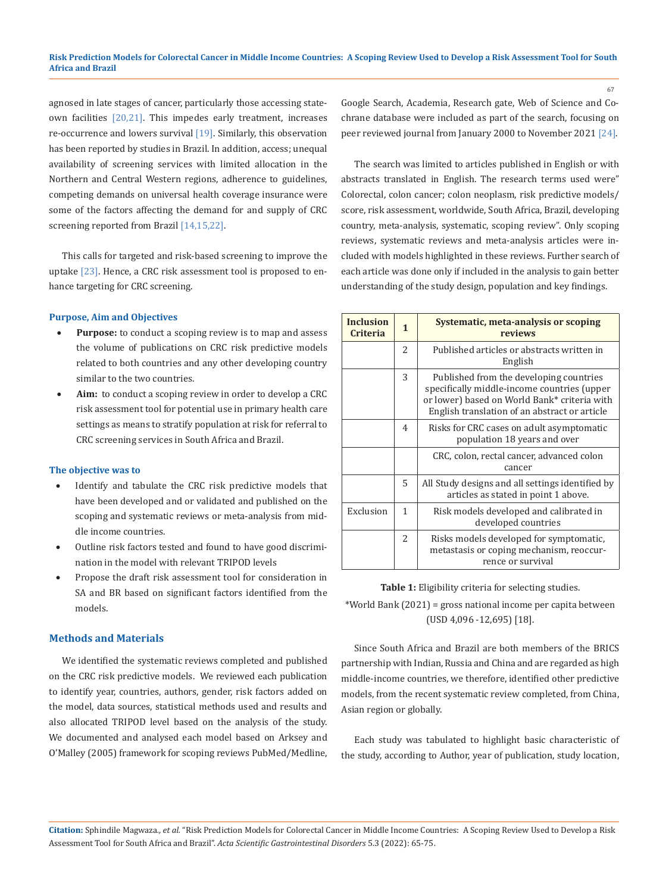agnosed in late stages of cancer, particularly those accessing stateown facilities [20,21]. This impedes early treatment, increases re-occurrence and lowers survival [19]. Similarly, this observation has been reported by studies in Brazil. In addition, access; unequal availability of screening services with limited allocation in the Northern and Central Western regions, adherence to guidelines, competing demands on universal health coverage insurance were some of the factors affecting the demand for and supply of CRC screening reported from Brazil [14,15,22].

This calls for targeted and risk-based screening to improve the uptake [23]. Hence, a CRC risk assessment tool is proposed to enhance targeting for CRC screening.

# **Purpose, Aim and Objectives**

- Purpose: to conduct a scoping review is to map and assess the volume of publications on CRC risk predictive models related to both countries and any other developing country similar to the two countries.
- Aim: to conduct a scoping review in order to develop a CRC risk assessment tool for potential use in primary health care settings as means to stratify population at risk for referral to CRC screening services in South Africa and Brazil.

#### **The objective was to**

- Identify and tabulate the CRC risk predictive models that have been developed and or validated and published on the scoping and systematic reviews or meta-analysis from middle income countries.
- Outline risk factors tested and found to have good discrimination in the model with relevant TRIPOD levels
- Propose the draft risk assessment tool for consideration in SA and BR based on significant factors identified from the models.

#### **Methods and Materials**

We identified the systematic reviews completed and published on the CRC risk predictive models. We reviewed each publication to identify year, countries, authors, gender, risk factors added on the model, data sources, statistical methods used and results and also allocated TRIPOD level based on the analysis of the study. We documented and analysed each model based on Arksey and O'Malley (2005) framework for scoping reviews PubMed/Medline, Google Search, Academia, Research gate, Web of Science and Cochrane database were included as part of the search, focusing on peer reviewed journal from January 2000 to November 2021 [24].

67

The search was limited to articles published in English or with abstracts translated in English. The research terms used were" Colorectal, colon cancer; colon neoplasm, risk predictive models/ score, risk assessment, worldwide, South Africa, Brazil, developing country, meta-analysis, systematic, scoping review". Only scoping reviews, systematic reviews and meta-analysis articles were included with models highlighted in these reviews. Further search of each article was done only if included in the analysis to gain better understanding of the study design, population and key findings.

| <b>Inclusion</b><br><b>Criteria</b> | $\mathbf{1}$   | Systematic, meta-analysis or scoping<br>reviews                                                                                                                                         |  |
|-------------------------------------|----------------|-----------------------------------------------------------------------------------------------------------------------------------------------------------------------------------------|--|
|                                     | 2              | Published articles or abstracts written in<br>English                                                                                                                                   |  |
|                                     | 3              | Published from the developing countries<br>specifically middle-income countries (upper<br>or lower) based on World Bank* criteria with<br>English translation of an abstract or article |  |
|                                     | 4              | Risks for CRC cases on adult asymptomatic<br>population 18 years and over                                                                                                               |  |
|                                     |                | CRC, colon, rectal cancer, advanced colon<br>cancer                                                                                                                                     |  |
|                                     | 5              | All Study designs and all settings identified by<br>articles as stated in point 1 above.                                                                                                |  |
| Exclusion                           | 1              | Risk models developed and calibrated in<br>developed countries                                                                                                                          |  |
|                                     | $\overline{c}$ | Risks models developed for symptomatic,<br>metastasis or coping mechanism, reoccur-<br>rence or survival                                                                                |  |

**Table 1:** Eligibility criteria for selecting studies.

\*World Bank (2021) = gross national income per capita between (USD 4,096 -12,695) [18].

Since South Africa and Brazil are both members of the BRICS partnership with Indian, Russia and China and are regarded as high middle-income countries, we therefore, identified other predictive models, from the recent systematic review completed, from China, Asian region or globally.

Each study was tabulated to highlight basic characteristic of the study, according to Author, year of publication, study location,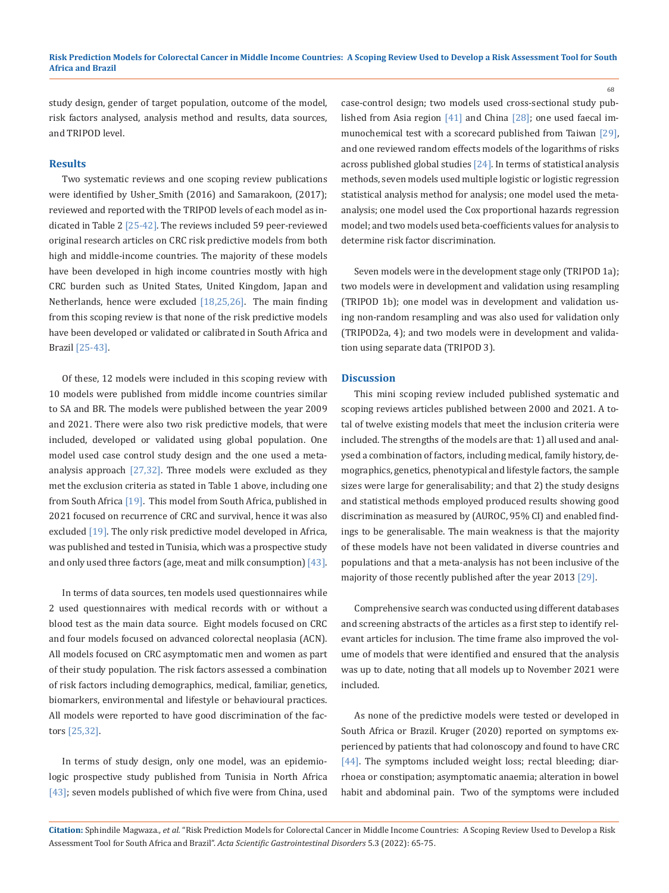study design, gender of target population, outcome of the model, risk factors analysed, analysis method and results, data sources, and TRIPOD level.

#### **Results**

Two systematic reviews and one scoping review publications were identified by Usher\_Smith (2016) and Samarakoon, (2017); reviewed and reported with the TRIPOD levels of each model as indicated in Table 2 [25-42]. The reviews included 59 peer-reviewed original research articles on CRC risk predictive models from both high and middle-income countries. The majority of these models have been developed in high income countries mostly with high CRC burden such as United States, United Kingdom, Japan and Netherlands, hence were excluded [18,25,26]. The main finding from this scoping review is that none of the risk predictive models have been developed or validated or calibrated in South Africa and Brazil [25-43].

Of these, 12 models were included in this scoping review with 10 models were published from middle income countries similar to SA and BR. The models were published between the year 2009 and 2021. There were also two risk predictive models, that were included, developed or validated using global population. One model used case control study design and the one used a metaanalysis approach [27,32]. Three models were excluded as they met the exclusion criteria as stated in Table 1 above, including one from South Africa [19]. This model from South Africa, published in 2021 focused on recurrence of CRC and survival, hence it was also excluded [19]. The only risk predictive model developed in Africa, was published and tested in Tunisia, which was a prospective study and only used three factors (age, meat and milk consumption) [43].

In terms of data sources, ten models used questionnaires while 2 used questionnaires with medical records with or without a blood test as the main data source. Eight models focused on CRC and four models focused on advanced colorectal neoplasia (ACN). All models focused on CRC asymptomatic men and women as part of their study population. The risk factors assessed a combination of risk factors including demographics, medical, familiar, genetics, biomarkers, environmental and lifestyle or behavioural practices. All models were reported to have good discrimination of the factors [25,32].

In terms of study design, only one model, was an epidemiologic prospective study published from Tunisia in North Africa [43]; seven models published of which five were from China, used case-control design; two models used cross-sectional study published from Asia region [41] and China [28]; one used faecal immunochemical test with a scorecard published from Taiwan [29], and one reviewed random effects models of the logarithms of risks across published global studies [24]. In terms of statistical analysis methods, seven models used multiple logistic or logistic regression statistical analysis method for analysis; one model used the metaanalysis; one model used the Cox proportional hazards regression model; and two models used beta-coefficients values for analysis to determine risk factor discrimination.

68

Seven models were in the development stage only (TRIPOD 1a); two models were in development and validation using resampling (TRIPOD 1b); one model was in development and validation using non-random resampling and was also used for validation only (TRIPOD2a, 4); and two models were in development and validation using separate data (TRIPOD 3).

#### **Discussion**

This mini scoping review included published systematic and scoping reviews articles published between 2000 and 2021. A total of twelve existing models that meet the inclusion criteria were included. The strengths of the models are that: 1) all used and analysed a combination of factors, including medical, family history, demographics, genetics, phenotypical and lifestyle factors, the sample sizes were large for generalisability; and that 2) the study designs and statistical methods employed produced results showing good discrimination as measured by (AUROC, 95% CI) and enabled findings to be generalisable. The main weakness is that the majority of these models have not been validated in diverse countries and populations and that a meta-analysis has not been inclusive of the majority of those recently published after the year 2013 [29].

Comprehensive search was conducted using different databases and screening abstracts of the articles as a first step to identify relevant articles for inclusion. The time frame also improved the volume of models that were identified and ensured that the analysis was up to date, noting that all models up to November 2021 were included.

As none of the predictive models were tested or developed in South Africa or Brazil. Kruger (2020) reported on symptoms experienced by patients that had colonoscopy and found to have CRC [44]. The symptoms included weight loss; rectal bleeding; diarrhoea or constipation; asymptomatic anaemia; alteration in bowel habit and abdominal pain. Two of the symptoms were included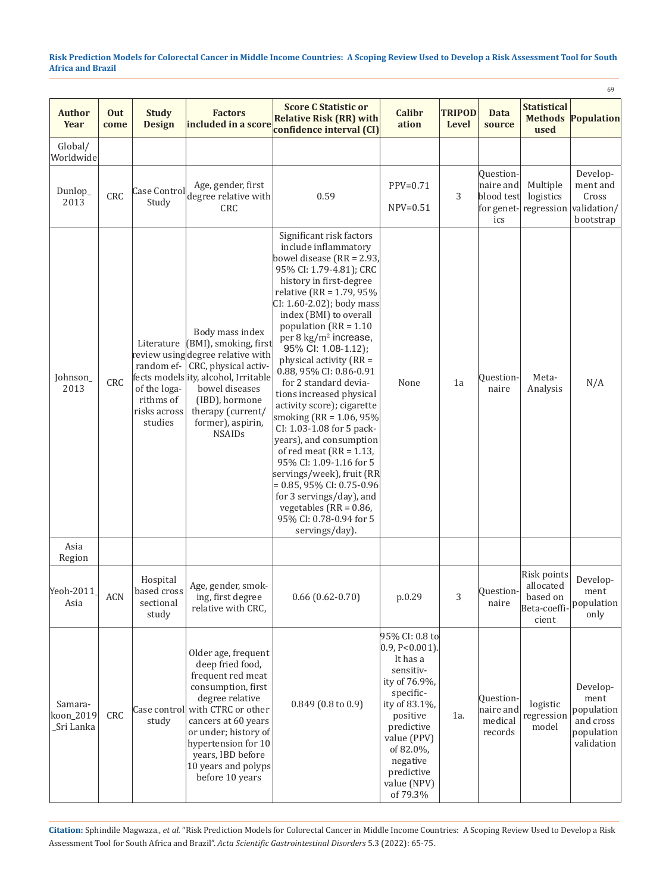|                                    |             |                                                      |                                                                                                                                                                                                                                                                               |                                                                                                                                                                                                                                                                                                                                                                                                                                                                                                                                                                                                                                                                                                                                                                                 |                                                                                                                                                                                                                         |                               |                                                           |                                                               | 69                                                                      |
|------------------------------------|-------------|------------------------------------------------------|-------------------------------------------------------------------------------------------------------------------------------------------------------------------------------------------------------------------------------------------------------------------------------|---------------------------------------------------------------------------------------------------------------------------------------------------------------------------------------------------------------------------------------------------------------------------------------------------------------------------------------------------------------------------------------------------------------------------------------------------------------------------------------------------------------------------------------------------------------------------------------------------------------------------------------------------------------------------------------------------------------------------------------------------------------------------------|-------------------------------------------------------------------------------------------------------------------------------------------------------------------------------------------------------------------------|-------------------------------|-----------------------------------------------------------|---------------------------------------------------------------|-------------------------------------------------------------------------|
| <b>Author</b><br>Year              | Out<br>come | <b>Study</b><br><b>Design</b>                        | <b>Factors</b><br>included in a score                                                                                                                                                                                                                                         | <b>Score C Statistic or</b><br><b>Relative Risk (RR) with</b><br>confidence interval (CI)                                                                                                                                                                                                                                                                                                                                                                                                                                                                                                                                                                                                                                                                                       | <b>Calibr</b><br>ation                                                                                                                                                                                                  | <b>TRIPOD</b><br><b>Level</b> | <b>Data</b><br>source                                     | <b>Statistical</b><br>used                                    | <b>Methods Population</b>                                               |
| Global/<br>Worldwide               |             |                                                      |                                                                                                                                                                                                                                                                               |                                                                                                                                                                                                                                                                                                                                                                                                                                                                                                                                                                                                                                                                                                                                                                                 |                                                                                                                                                                                                                         |                               |                                                           |                                                               |                                                                         |
| Dunlop_<br>2013                    | CRC         | Case Control<br>Study                                | Age, gender, first<br>degree relative with<br>CRC                                                                                                                                                                                                                             | 0.59                                                                                                                                                                                                                                                                                                                                                                                                                                                                                                                                                                                                                                                                                                                                                                            | $PPV=0.71$<br>$NPV=0.51$                                                                                                                                                                                                | 3                             | Question-<br>naire and<br>blood test<br>for genet-<br>ics | Multiple<br>logistics<br>regression                           | Develop-<br>ment and<br>Cross<br>validation/<br>bootstrap               |
| Johnson_<br>2013                   | CRC         | of the loga-<br>rithms of<br>risks across<br>studies | Body mass index<br>Literature $ $ (BMI), smoking, first<br>review using degree relative with<br>random ef- CRC, physical activ-<br>fects models ity, alcohol, Irritable<br>bowel diseases<br>(IBD), hormone<br>therapy (current/<br>former), aspirin,<br><b>NSAIDs</b>        | Significant risk factors<br>include inflammatory<br>bowel disease $(RR = 2.93)$<br>95% CI: 1.79-4.81); CRC<br>history in first-degree<br>relative (RR = $1.79,95\%$<br>$CI: 1.60-2.02$ ; body mass<br>index (BMI) to overall<br>population ( $RR = 1.10$<br>per 8 kg/m <sup>2</sup> increase,<br>95% CI: 1.08-1.12);<br>physical activity (RR =<br>0.88, 95% CI: 0.86-0.91<br>for 2 standard devia-<br>tions increased physical<br>activity score); cigarette<br>smoking (RR = 1.06, 95%)<br>CI: 1.03-1.08 for 5 pack-<br>years), and consumption<br>of red meat ( $RR = 1.13$ )<br>95% CI: 1.09-1.16 for 5<br>servings/week), fruit (RR<br>$= 0.85, 95\%$ CI: 0.75-0.96<br>for 3 servings/day), and<br>vegetables ( $RR = 0.86$ ,<br>95% CI: 0.78-0.94 for 5<br>servings/day). | None                                                                                                                                                                                                                    | 1a                            | Ouestion-<br>naire                                        | Meta-<br>Analysis                                             | N/A                                                                     |
| Asia<br>Region                     |             |                                                      |                                                                                                                                                                                                                                                                               |                                                                                                                                                                                                                                                                                                                                                                                                                                                                                                                                                                                                                                                                                                                                                                                 |                                                                                                                                                                                                                         |                               |                                                           |                                                               |                                                                         |
| Yeoh-2011<br>Asia                  | <b>ACN</b>  | Hospital<br>based cross<br>sectional<br>study        | Age, gender, smok-<br>ing, first degree<br>relative with CRC,                                                                                                                                                                                                                 | $0.66$ $(0.62 - 0.70)$                                                                                                                                                                                                                                                                                                                                                                                                                                                                                                                                                                                                                                                                                                                                                          | p.0.29                                                                                                                                                                                                                  | 3                             | Question-<br>naire                                        | Risk points<br>allocated<br>based on<br>Beta-coeffi-<br>cient | Develop-<br>ment<br>population<br>only                                  |
| Samara-<br>koon_2019<br>_Sri Lanka | CRC         | study                                                | Older age, frequent<br>deep fried food,<br>frequent red meat<br>consumption, first<br>degree relative<br>Case control with CTRC or other<br>cancers at 60 years<br>or under; history of<br>hypertension for 10<br>years, IBD before<br>10 years and polyps<br>before 10 years | $0.849(0.8 \text{ to } 0.9)$                                                                                                                                                                                                                                                                                                                                                                                                                                                                                                                                                                                                                                                                                                                                                    | 95% CI: 0.8 to<br>$[0.9, P<0.001]$ .<br>It has a<br>sensitiv-<br>ity of 76.9%,<br>specific-<br>ity of 83.1%,<br>positive<br>predictive<br>value (PPV)<br>of 82.0%,<br>negative<br>predictive<br>value (NPV)<br>of 79.3% | 1a.                           | Question-<br>naire and<br>medical<br>records              | logistic<br>regression<br>model                               | Develop-<br>ment<br>population<br>and cross<br>population<br>validation |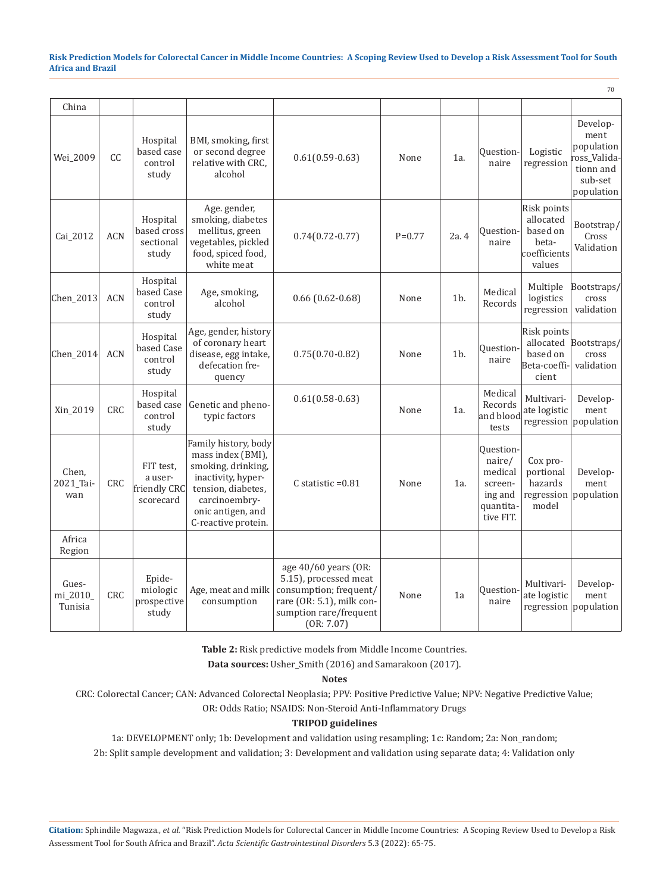70

| China                        |            |                                                   |                                                                                                                                                                          |                                                                                                                                              |          |        |                                                                                |                                                                         |                                                                                     |
|------------------------------|------------|---------------------------------------------------|--------------------------------------------------------------------------------------------------------------------------------------------------------------------------|----------------------------------------------------------------------------------------------------------------------------------------------|----------|--------|--------------------------------------------------------------------------------|-------------------------------------------------------------------------|-------------------------------------------------------------------------------------|
| Wei_2009                     | CC         | Hospital<br>based case<br>control<br>study        | BMI, smoking, first<br>or second degree<br>relative with CRC,<br>alcohol                                                                                                 | $0.61(0.59-0.63)$                                                                                                                            | None     | 1a.    | Ouestion-<br>naire                                                             | Logistic<br>regression                                                  | Develop-<br>ment<br>population<br>oss Valida-<br>tionn and<br>sub-set<br>population |
| Cai_2012                     | <b>ACN</b> | Hospital<br>based cross<br>sectional<br>study     | Age. gender,<br>smoking, diabetes<br>mellitus, green<br>vegetables, pickled<br>food, spiced food,<br>white meat                                                          | $0.74(0.72-0.77)$                                                                                                                            | $P=0.77$ | 2a.4   | Ouestion-<br>naire                                                             | Risk points<br>allocated<br>based on<br>beta-<br>coefficients<br>values | Bootstrap/<br>Cross<br>Validation                                                   |
| Chen_2013                    | <b>ACN</b> | Hospital<br>based Case<br>control<br>study        | Age, smoking,<br>alcohol                                                                                                                                                 | $0.66$ $(0.62 - 0.68)$                                                                                                                       | None     | 1b.    | Medical<br>Records                                                             | Multiple<br>logistics<br>regression                                     | Bootstraps/<br>cross<br>validation                                                  |
| Chen_2014                    | <b>ACN</b> | Hospital<br>based Case<br>control<br>study        | Age, gender, history<br>of coronary heart<br>disease, egg intake,<br>defecation fre-<br>quency                                                                           | $0.75(0.70-0.82)$                                                                                                                            | None     | $1b$ . | Ouestion-<br>naire                                                             | Risk points<br>allocated<br>based on<br>Beta-coeffi-<br>cient           | Bootstraps/<br>cross<br>validation                                                  |
| Xin_2019                     | CRC        | Hospital<br>based case<br>control<br>study        | Genetic and pheno-<br>typic factors                                                                                                                                      | $0.61(0.58-0.63)$                                                                                                                            | None     | 1a.    | Medical<br>Records<br>and blood<br>tests                                       | Multivari-<br>ate logistic<br>regression                                | Develop-<br>ment<br>population                                                      |
| Chen,<br>2021_Tai-<br>wan    | <b>CRC</b> | FIT test,<br>a user-<br>friendly CRC<br>scorecard | Family history, body<br>mass index (BMI),<br>smoking, drinking,<br>inactivity, hyper-<br>tension, diabetes,<br>carcinoembry-<br>onic antigen, and<br>C-reactive protein. | C statistic $=0.81$                                                                                                                          | None     | $1a$ . | Ouestion-<br>naire/<br>medical<br>screen-<br>ing and<br>quantita-<br>tive FIT. | Cox pro-<br>portional<br>hazards<br>regression<br>model                 | Develop-<br>ment<br>population                                                      |
| Africa<br>Region             |            |                                                   |                                                                                                                                                                          |                                                                                                                                              |          |        |                                                                                |                                                                         |                                                                                     |
| Gues-<br>mi_2010_<br>Tunisia | CRC        | Epide-<br>miologic<br>prospective<br>study        | Age, meat and milk<br>consumption                                                                                                                                        | age 40/60 years (OR:<br>5.15), processed meat<br>consumption; frequent/<br>rare (OR: 5.1), milk con-<br>sumption rare/frequent<br>(OR: 7.07) | None     | 1a     | Ouestion<br>naire                                                              | Multivari-<br>ate logistic<br>regression                                | Develop-<br>ment<br>population                                                      |

**Table 2:** Risk predictive models from Middle Income Countries.

**Data sources:** Usher\_Smith (2016) and Samarakoon (2017).

#### **Notes**

CRC: Colorectal Cancer; CAN: Advanced Colorectal Neoplasia; PPV: Positive Predictive Value; NPV: Negative Predictive Value;

OR: Odds Ratio; NSAIDS: Non-Steroid Anti-Inflammatory Drugs

# **TRIPOD guidelines**

1a: DEVELOPMENT only; 1b: Development and validation using resampling; 1c: Random; 2a: Non\_random; 2b: Split sample development and validation; 3: Development and validation using separate data; 4: Validation only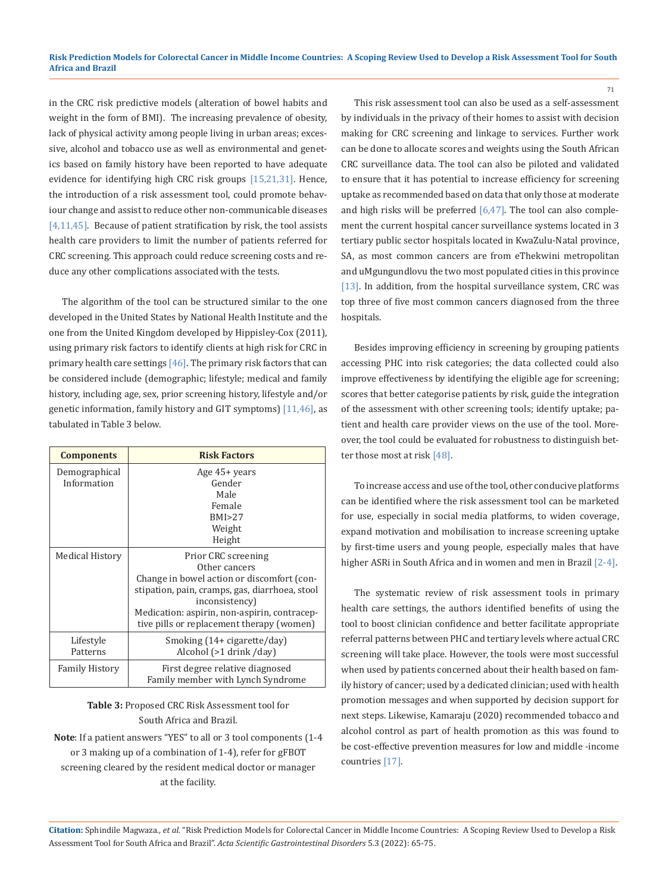in the CRC risk predictive models (alteration of bowel habits and weight in the form of BMI). The increasing prevalence of obesity, lack of physical activity among people living in urban areas; excessive, alcohol and tobacco use as well as environmental and genetics based on family history have been reported to have adequate evidence for identifying high CRC risk groups [15,21,31]. Hence, the introduction of a risk assessment tool, could promote behaviour change and assist to reduce other non-communicable diseases [4,11,45]. Because of patient stratification by risk, the tool assists health care providers to limit the number of patients referred for CRC screening. This approach could reduce screening costs and reduce any other complications associated with the tests.

The algorithm of the tool can be structured similar to the one developed in the United States by National Health Institute and the one from the United Kingdom developed by Hippisley-Cox (2011), using primary risk factors to identify clients at high risk for CRC in primary health care settings  $[46]$ . The primary risk factors that can be considered include (demographic; lifestyle; medical and family history, including age, sex, prior screening history, lifestyle and/or genetic information, family history and GIT symptoms) [11,46], as tabulated in Table 3 below.

| <b>Components</b>     | <b>Risk Factors</b>                            |  |  |
|-----------------------|------------------------------------------------|--|--|
| Demographical         | Age $45+$ years                                |  |  |
| Information           | Gender                                         |  |  |
|                       | Male                                           |  |  |
|                       | Female                                         |  |  |
|                       | BMI > 2.7                                      |  |  |
|                       | Weight                                         |  |  |
|                       | Height                                         |  |  |
| Medical History       | Prior CRC screening                            |  |  |
|                       | Other cancers                                  |  |  |
|                       | Change in bowel action or discomfort (con-     |  |  |
|                       | stipation, pain, cramps, gas, diarrhoea, stool |  |  |
|                       | inconsistency)                                 |  |  |
|                       | Medication: aspirin, non-aspirin, contracep-   |  |  |
|                       | tive pills or replacement therapy (women)      |  |  |
| Lifestyle             | Smoking (14+ cigarette/day)                    |  |  |
| Patterns              | Alcohol (>1 drink /day)                        |  |  |
| <b>Family History</b> | First degree relative diagnosed                |  |  |
|                       | Family member with Lynch Syndrome              |  |  |

**Table 3:** Proposed CRC Risk Assessment tool for South Africa and Brazil.

**Note**: If a patient answers "YES" to all or 3 tool components (1-4 or 3 making up of a combination of 1-4), refer for gFBOT screening cleared by the resident medical doctor or manager at the facility.

This risk assessment tool can also be used as a self-assessment by individuals in the privacy of their homes to assist with decision making for CRC screening and linkage to services. Further work can be done to allocate scores and weights using the South African CRC surveillance data. The tool can also be piloted and validated to ensure that it has potential to increase efficiency for screening uptake as recommended based on data that only those at moderate and high risks will be preferred [6,47]. The tool can also complement the current hospital cancer surveillance systems located in 3 tertiary public sector hospitals located in KwaZulu-Natal province, SA, as most common cancers are from eThekwini metropolitan and uMgungundlovu the two most populated cities in this province [13]. In addition, from the hospital surveillance system, CRC was top three of five most common cancers diagnosed from the three hospitals.

71

Besides improving efficiency in screening by grouping patients accessing PHC into risk categories; the data collected could also improve effectiveness by identifying the eligible age for screening; scores that better categorise patients by risk, guide the integration of the assessment with other screening tools; identify uptake; patient and health care provider views on the use of the tool. Moreover, the tool could be evaluated for robustness to distinguish better those most at risk [48].

To increase access and use of the tool, other conducive platforms can be identified where the risk assessment tool can be marketed for use, especially in social media platforms, to widen coverage, expand motivation and mobilisation to increase screening uptake by first-time users and young people, especially males that have higher ASRi in South Africa and in women and men in Brazil [2-4].

The systematic review of risk assessment tools in primary health care settings, the authors identified benefits of using the tool to boost clinician confidence and better facilitate appropriate referral patterns between PHC and tertiary levels where actual CRC screening will take place. However, the tools were most successful when used by patients concerned about their health based on family history of cancer; used by a dedicated clinician; used with health promotion messages and when supported by decision support for next steps. Likewise, Kamaraju (2020) recommended tobacco and alcohol control as part of health promotion as this was found to be cost-effective prevention measures for low and middle -income countries [17].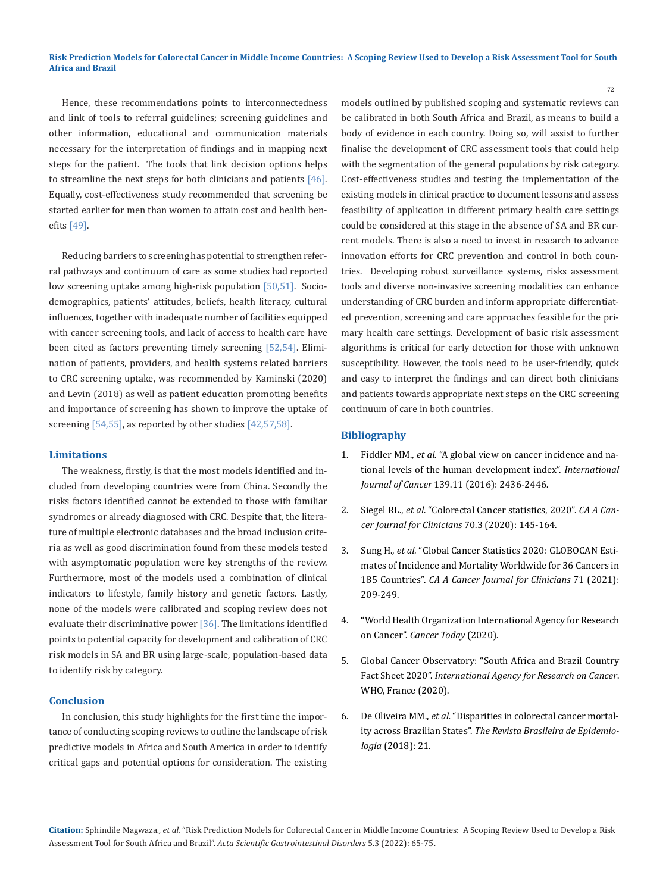Hence, these recommendations points to interconnectedness and link of tools to referral guidelines; screening guidelines and other information, educational and communication materials necessary for the interpretation of findings and in mapping next steps for the patient. The tools that link decision options helps to streamline the next steps for both clinicians and patients  $[46]$ . Equally, cost-effectiveness study recommended that screening be started earlier for men than women to attain cost and health benefits [49].

Reducing barriers to screening has potential to strengthen referral pathways and continuum of care as some studies had reported low screening uptake among high-risk population [50,51]. Sociodemographics, patients' attitudes, beliefs, health literacy, cultural influences, together with inadequate number of facilities equipped with cancer screening tools, and lack of access to health care have been cited as factors preventing timely screening [52,54]. Elimination of patients, providers, and health systems related barriers to CRC screening uptake, was recommended by Kaminski (2020) and Levin (2018) as well as patient education promoting benefits and importance of screening has shown to improve the uptake of screening [54,55], as reported by other studies [42,57,58].

#### **Limitations**

The weakness, firstly, is that the most models identified and included from developing countries were from China. Secondly the risks factors identified cannot be extended to those with familiar syndromes or already diagnosed with CRC. Despite that, the literature of multiple electronic databases and the broad inclusion criteria as well as good discrimination found from these models tested with asymptomatic population were key strengths of the review. Furthermore, most of the models used a combination of clinical indicators to lifestyle, family history and genetic factors. Lastly, none of the models were calibrated and scoping review does not evaluate their discriminative power [36]. The limitations identified points to potential capacity for development and calibration of CRC risk models in SA and BR using large-scale, population-based data to identify risk by category.

## **Conclusion**

In conclusion, this study highlights for the first time the importance of conducting scoping reviews to outline the landscape of risk predictive models in Africa and South America in order to identify critical gaps and potential options for consideration. The existing models outlined by published scoping and systematic reviews can be calibrated in both South Africa and Brazil, as means to build a body of evidence in each country. Doing so, will assist to further finalise the development of CRC assessment tools that could help with the segmentation of the general populations by risk category. Cost-effectiveness studies and testing the implementation of the existing models in clinical practice to document lessons and assess feasibility of application in different primary health care settings could be considered at this stage in the absence of SA and BR current models. There is also a need to invest in research to advance innovation efforts for CRC prevention and control in both countries. Developing robust surveillance systems, risks assessment tools and diverse non-invasive screening modalities can enhance understanding of CRC burden and inform appropriate differentiated prevention, screening and care approaches feasible for the primary health care settings. Development of basic risk assessment algorithms is critical for early detection for those with unknown susceptibility. However, the tools need to be user-friendly, quick and easy to interpret the findings and can direct both clinicians and patients towards appropriate next steps on the CRC screening continuum of care in both countries.

72

### **Bibliography**

- 1. Fiddler MM., *et al.* ["A global view on cancer incidence and na](https://pubmed.ncbi.nlm.nih.gov/27522007/)[tional levels of the human development index".](https://pubmed.ncbi.nlm.nih.gov/27522007/) *International Journal of Cancer* [139.11 \(2016\): 2436-2446.](https://pubmed.ncbi.nlm.nih.gov/27522007/)
- 2. Siegel RL., *et al.* ["Colorectal Cancer statistics, 2020".](https://acsjournals.onlinelibrary.wiley.com/doi/full/10.3322/caac.21601) *CA A Can[cer Journal for Clinicians](https://acsjournals.onlinelibrary.wiley.com/doi/full/10.3322/caac.21601)* 70.3 (2020): 145-164.
- 3. Sung H., *et al.* ["Global Cancer Statistics 2020: GLOBOCAN Esti](https://pubmed.ncbi.nlm.nih.gov/33538338/)[mates of Incidence and Mortality Worldwide for 36 Cancers in](https://pubmed.ncbi.nlm.nih.gov/33538338/) 185 Countries". *[CA A Cancer Journal for Clinicians](https://pubmed.ncbi.nlm.nih.gov/33538338/)* 71 (2021): [209-249.](https://pubmed.ncbi.nlm.nih.gov/33538338/)
- 4. ["World Health Organization International Agency for Research](https://gco.iarc.fr/today/home)  on Cancer". *[Cancer Today](https://gco.iarc.fr/today/home)* (2020).
- 5. Global Cancer Observatory: "South Africa and Brazil Country Fact Sheet 2020". *International Agency for Research on Cancer*. WHO, France (2020).
- 6. De Oliveira MM., *et al.* ["Disparities in colorectal cancer mortal](https://pubmed.ncbi.nlm.nih.gov/30156659/)ity across Brazilian States". *[The Revista Brasileira de Epidemio](https://pubmed.ncbi.nlm.nih.gov/30156659/)logia* [\(2018\): 21.](https://pubmed.ncbi.nlm.nih.gov/30156659/)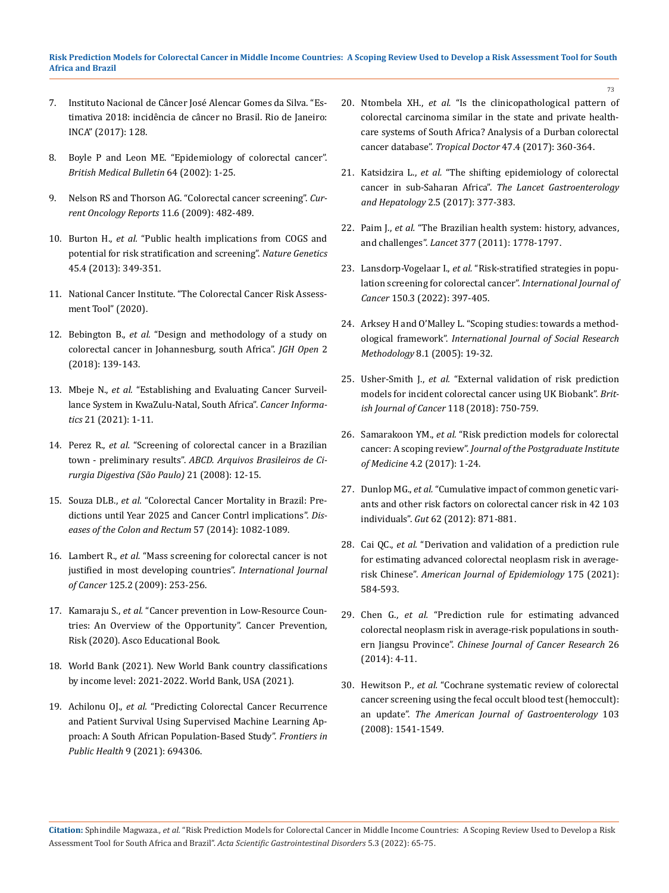- 7. [Instituto Nacional de Câncer José Alencar Gomes da Silva. "Es](https://rbc.inca.gov.br/revista/index.php/revista/article/view/115)[timativa 2018: incidência de câncer no Brasil. Rio de Janeiro:](https://rbc.inca.gov.br/revista/index.php/revista/article/view/115) [INCA" \(2017\): 128.](https://rbc.inca.gov.br/revista/index.php/revista/article/view/115)
- 8. [Boyle P and Leon ME. "Epidemiology of colorectal cancer".](https://pubmed.ncbi.nlm.nih.gov/12421722/) *[British Medical Bulletin](https://pubmed.ncbi.nlm.nih.gov/12421722/)* 64 (2002): 1-25.
- 9. [Nelson RS and Thorson AG. "Colorectal cancer screening".](https://link.springer.com/article/10.1007/s11912-009-0065-8) *Cur[rent Oncology Reports](https://link.springer.com/article/10.1007/s11912-009-0065-8)* 11.6 (2009): 482-489.
- 10. Burton H., *et al.* ["Public health implications from COGS and](https://pubmed.ncbi.nlm.nih.gov/23535723/) [potential for risk stratification and screening".](https://pubmed.ncbi.nlm.nih.gov/23535723/) *Nature Genetics*  [45.4 \(2013\): 349-351.](https://pubmed.ncbi.nlm.nih.gov/23535723/)
- 11. [National Cancer Institute. "The Colorectal Cancer Risk Assess](https://dceg.cancer.gov/tools/risk-assessment/ccratgauss)[ment Tool" \(2020\).](https://dceg.cancer.gov/tools/risk-assessment/ccratgauss)
- 12. Bebington B., *et al.* ["Design and methodology of a study on](https://pubmed.ncbi.nlm.nih.gov/30483579/) [colorectal cancer in Johannesburg, south Africa".](https://pubmed.ncbi.nlm.nih.gov/30483579/) *JGH Open* 2 [\(2018\): 139-143.](https://pubmed.ncbi.nlm.nih.gov/30483579/)
- 13. Mbeje N., *et al.* ["Establishing and Evaluating Cancer Surveil](https://journals.sagepub.com/doi/full/10.1177/11769351211029967)[lance System in KwaZulu-Natal, South Africa".](https://journals.sagepub.com/doi/full/10.1177/11769351211029967) *Cancer Informatics* [21 \(2021\): 1-11.](https://journals.sagepub.com/doi/full/10.1177/11769351211029967)
- 14. Perez R., *et al.* ["Screening of colorectal cancer in a Brazilian](https://www.scielo.br/j/abcd/a/9JLf8X3GqW8bCMYV9gmjKyh/abstract/?lang=en) town - preliminary results". *ABCD. [Arquivos Brasileiros de Ci](https://www.scielo.br/j/abcd/a/9JLf8X3GqW8bCMYV9gmjKyh/abstract/?lang=en)[rurgia Digestiva \(São Paulo\)](https://www.scielo.br/j/abcd/a/9JLf8X3GqW8bCMYV9gmjKyh/abstract/?lang=en)* 21 (2008): 12-15.
- 15. Souza DLB., *et al.* ["Colorectal Cancer Mortality in Brazil: Pre](file:///C:/Users/DELL/Desktop/07-02-2022/PDF/ASGIS/ASGIS-22-RA-011/1.%09DOI:%201-0.1097/DCR.0000000000000186)[dictions until Year 2025 and Cancer Contrl implications".](file:///C:/Users/DELL/Desktop/07-02-2022/PDF/ASGIS/ASGIS-22-RA-011/1.%09DOI:%201-0.1097/DCR.0000000000000186) *Dis[eases of the Colon and Rectum](file:///C:/Users/DELL/Desktop/07-02-2022/PDF/ASGIS/ASGIS-22-RA-011/1.%09DOI:%201-0.1097/DCR.0000000000000186)* 57 (2014): 1082-1089.
- 16. Lambert R., *et al.* ["Mass screening for colorectal cancer is not](https://pubmed.ncbi.nlm.nih.gov/19384945/) [justified in most developing countries".](https://pubmed.ncbi.nlm.nih.gov/19384945/) *International Journal of Cancer* [125.2 \(2009\): 253-256.](https://pubmed.ncbi.nlm.nih.gov/19384945/)
- 17. Kamaraju S., *et al.* ["Cancer prevention in Low-Resource Coun](https://ascopubs.org/doi/10.1200/EDBK_280625)[tries: An Overview of the Opportunity". Cancer Prevention,](https://ascopubs.org/doi/10.1200/EDBK_280625) [Risk \(2020\). Asco Educational Book.](https://ascopubs.org/doi/10.1200/EDBK_280625)
- 18. [World Bank \(2021\). New World Bank country classifications](https://blogs.worldbank.org/opendata/new-world-bank-country-classifications-income-level-2021-2022) [by income level: 2021-2022. World Bank, USA \(2021\).](https://blogs.worldbank.org/opendata/new-world-bank-country-classifications-income-level-2021-2022)
- 19. Achilonu OJ., *et al.* ["Predicting Colorectal Cancer Recurrence](https://pubmed.ncbi.nlm.nih.gov/34307286/) [and Patient Survival Using Supervised Machine Learning Ap](https://pubmed.ncbi.nlm.nih.gov/34307286/)[proach: A South African Population-Based Study".](https://pubmed.ncbi.nlm.nih.gov/34307286/) *Frontiers in Public Health* [9 \(2021\): 694306.](https://pubmed.ncbi.nlm.nih.gov/34307286/)

20. Ntombela XH., *et al.* ["Is the clinicopathological pattern of](https://pubmed.ncbi.nlm.nih.gov/28537520/) [colorectal carcinoma similar in the state and private health](https://pubmed.ncbi.nlm.nih.gov/28537520/)[care systems of South Africa? Analysis of a Durban colorectal](https://pubmed.ncbi.nlm.nih.gov/28537520/)  cancer database". *Tropical Doctor* [47.4 \(2017\): 360-364.](https://pubmed.ncbi.nlm.nih.gov/28537520/)

73

- 21. Katsidzira L., *et al.* ["The shifting epidemiology of colorectal](file:///C:/Users/DELL/Desktop/07-02-2022/PDF/ASGIS/ASGIS-22-RA-011/1.%09doi:%2010.1016/S2468-1253%20(16)30183-2.)  cancer in sub-Saharan Africa". *[The Lancet Gastroenterology](file:///C:/Users/DELL/Desktop/07-02-2022/PDF/ASGIS/ASGIS-22-RA-011/1.%09doi:%2010.1016/S2468-1253%20(16)30183-2.) and Hepatology* [2.5 \(2017\): 377-383.](file:///C:/Users/DELL/Desktop/07-02-2022/PDF/ASGIS/ASGIS-22-RA-011/1.%09doi:%2010.1016/S2468-1253%20(16)30183-2.)
- 22. Paim J., *et al.* ["The Brazilian health system: history, advances,](https://pubmed.ncbi.nlm.nih.gov/21561655/) and challenges". *Lancet* [377 \(2011\): 1778-1797.](https://pubmed.ncbi.nlm.nih.gov/21561655/)
- 23. Lansdorp-Vogelaar I., *et al.* ["Risk-stratified strategies in popu](https://pubmed.ncbi.nlm.nih.gov/34460107/)[lation screening for colorectal cancer".](https://pubmed.ncbi.nlm.nih.gov/34460107/) *International Journal of Cancer* [150.3 \(2022\): 397-405.](https://pubmed.ncbi.nlm.nih.gov/34460107/)
- 24. [Arksey H and O'Malley L. "Scoping studies: towards a method](https://www.tandfonline.com/doi/abs/10.1080/1364557032000119616)ological framework". *[International Journal of Social Research](https://www.tandfonline.com/doi/abs/10.1080/1364557032000119616)  Methodology* [8.1 \(2005\): 19-32.](https://www.tandfonline.com/doi/abs/10.1080/1364557032000119616)
- 25. Usher-Smith J., *et al.* ["External validation of risk prediction](https://www.nature.com/articles/bjc2017463)  [models for incident colorectal cancer using UK Biobank".](https://www.nature.com/articles/bjc2017463) *Brit[ish Journal of Cancer](https://www.nature.com/articles/bjc2017463)* 118 (2018): 750-759.
- 26. Samarakoon YM., *et al.* ["Risk prediction models for colorectal](https://www.researchgate.net/publication/322859429_Risk_prediction_models_for_colorectal_cancer_A_Scoping_review)  cancer: A scoping review". *Journal of [the Postgraduate Institute](https://www.researchgate.net/publication/322859429_Risk_prediction_models_for_colorectal_cancer_A_Scoping_review)  of Medicine* [4.2 \(2017\): 1-24.](https://www.researchgate.net/publication/322859429_Risk_prediction_models_for_colorectal_cancer_A_Scoping_review)
- 27. Dunlop MG., *et al.* ["Cumulative impact of common genetic vari](https://pubmed.ncbi.nlm.nih.gov/22490517/)[ants and other risk factors on colorectal cancer risk in 42 103](https://pubmed.ncbi.nlm.nih.gov/22490517/) individuals". *Gut* [62 \(2012\): 871-881.](https://pubmed.ncbi.nlm.nih.gov/22490517/)
- 28. Cai QC., *et al.* ["Derivation and validation of a prediction rule](https://pubmed.ncbi.nlm.nih.gov/22328705/)  [for estimating advanced colorectal neoplasm risk in average](https://pubmed.ncbi.nlm.nih.gov/22328705/)risk Chinese". *[American Journal of Epidemiology](https://pubmed.ncbi.nlm.nih.gov/22328705/)* 175 (2021): [584-593.](https://pubmed.ncbi.nlm.nih.gov/22328705/)
- 29. Chen G., *et al.* ["Prediction rule for estimating advanced](https://pubmed.ncbi.nlm.nih.gov/24653621/) [colorectal neoplasm risk in average-risk populations in south](https://pubmed.ncbi.nlm.nih.gov/24653621/)ern Jiangsu Province". *[Chinese Journal of Cancer Research](https://pubmed.ncbi.nlm.nih.gov/24653621/)* 26 [\(2014\): 4-11.](https://pubmed.ncbi.nlm.nih.gov/24653621/)
- 30. Hewitson P., *et al.* ["Cochrane systematic review of colorectal](https://pubmed.ncbi.nlm.nih.gov/18479499/)  [cancer screening using the fecal occult blood test \(hemoccult\):](https://pubmed.ncbi.nlm.nih.gov/18479499/) an update". *[The American Journal of Gastroenterology](https://pubmed.ncbi.nlm.nih.gov/18479499/)* 103 (2008): [1541-1549.](https://pubmed.ncbi.nlm.nih.gov/18479499/)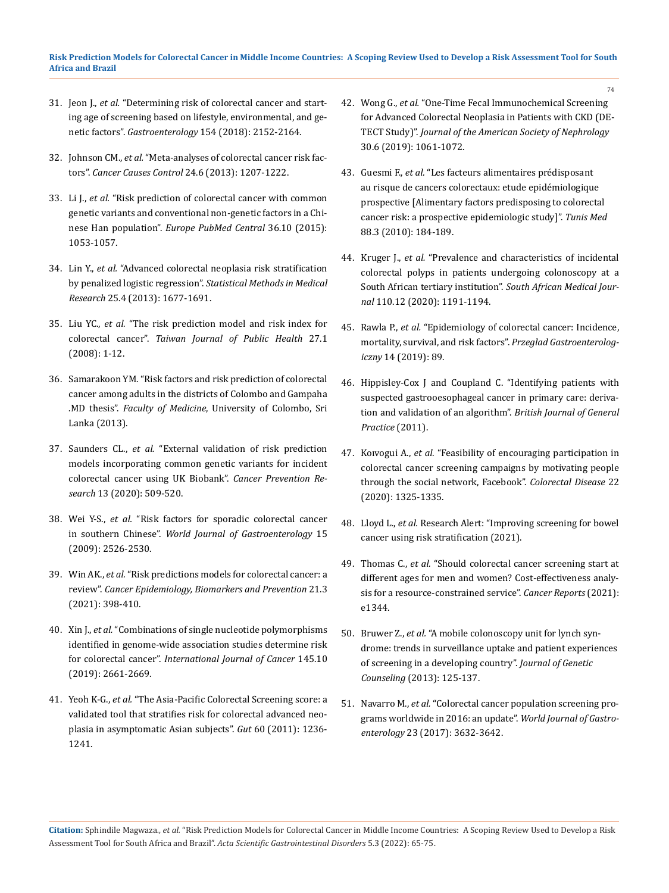- 31. Jeon J., *et al.* ["Determining risk of colorectal cancer and start](file:///C:/Users/DELL/Desktop/07-02-2022/PDF/ASGIS/ASGIS-22-RA-011/etermining%20risk%20of%20colorectal%20cancer%20and%20starting%20age%20of%20screening%20based%20on%20lifestyle,%20environmental,%20and%20genetic%20factors)[ing age of screening based on lifestyle, environmental, and ge](file:///C:/Users/DELL/Desktop/07-02-2022/PDF/ASGIS/ASGIS-22-RA-011/etermining%20risk%20of%20colorectal%20cancer%20and%20starting%20age%20of%20screening%20based%20on%20lifestyle,%20environmental,%20and%20genetic%20factors)netic factors". *Gastroenterology* [154 \(2018\): 2152-2164.](file:///C:/Users/DELL/Desktop/07-02-2022/PDF/ASGIS/ASGIS-22-RA-011/etermining%20risk%20of%20colorectal%20cancer%20and%20starting%20age%20of%20screening%20based%20on%20lifestyle,%20environmental,%20and%20genetic%20factors)
- 32. Johnson CM., *et al.* ["Meta-analyses of colorectal cancer risk fac](https://pubmed.ncbi.nlm.nih.gov/23563998/)tors". *[Cancer Causes Control](https://pubmed.ncbi.nlm.nih.gov/23563998/)* 24.6 (2013): 1207-1222.
- 33. Li J., *et al.* ["Risk prediction of colorectal cancer with common](https://pubmed.ncbi.nlm.nih.gov/26837342/) [genetic variants and conventional non-genetic factors in a Chi](https://pubmed.ncbi.nlm.nih.gov/26837342/)nese Han population". *[Europe PubMed Central](https://pubmed.ncbi.nlm.nih.gov/26837342/)* 36.10 (2015): [1053-1057.](https://pubmed.ncbi.nlm.nih.gov/26837342/)
- 34. Lin Y., *et al.* ["Advanced colorectal neoplasia risk stratification](https://pubmed.ncbi.nlm.nih.gov/23907780/) by penalized logistic regression". *[Statistical Methods in Medical](https://pubmed.ncbi.nlm.nih.gov/23907780/) Research* [25.4 \(2013\): 1677-1691.](https://pubmed.ncbi.nlm.nih.gov/23907780/)
- 35. Liu YC., *et al.* "The risk prediction model and risk index for colorectal cancer". *Taiwan Journal of Public Health* 27.1 (2008): 1-12.
- 36. Samarakoon YM. "Risk factors and risk prediction of colorectal cancer among adults in the districts of Colombo and Gampaha .MD thesis". *Faculty of Medicine*, University of Colombo, Sri Lanka (2013).
- 37. Saunders CL., *et al.* ["External validation of risk prediction](https://pubmed.ncbi.nlm.nih.gov/32071122/) [models incorporating common genetic variants for incident](https://pubmed.ncbi.nlm.nih.gov/32071122/) [colorectal cancer using UK Biobank".](https://pubmed.ncbi.nlm.nih.gov/32071122/) *Cancer Prevention Research* [13 \(2020\): 509-520.](https://pubmed.ncbi.nlm.nih.gov/32071122/)
- 38. Wei Y-S., *et al.* ["Risk factors for sporadic colorectal cancer](https://pubmed.ncbi.nlm.nih.gov/19469004/) in southern Chinese". *[World Journal of Gastroenterology](https://pubmed.ncbi.nlm.nih.gov/19469004/)* 15 [\(2009\): 2526-2530.](https://pubmed.ncbi.nlm.nih.gov/19469004/)
- 39. Win AK., *et al.* ["Risk predictions models for colorectal cancer: a](https://pubmed.ncbi.nlm.nih.gov/22169185/) review". *[Cancer Epidemiology, Biomarkers and Prevention](https://pubmed.ncbi.nlm.nih.gov/22169185/)* 21.3 (2021): [398-410.](https://pubmed.ncbi.nlm.nih.gov/22169185/)
- 40. Xin J., *et al.* ["Combinations of single nucleotide polymorphisms](https://pubmed.ncbi.nlm.nih.gov/30859566/) [identified in genome‐wide association studies determine risk](https://pubmed.ncbi.nlm.nih.gov/30859566/) for colorectal cancer". *[International Journal of Cancer](https://pubmed.ncbi.nlm.nih.gov/30859566/)* 145.10 [\(2019\): 2661-2669.](https://pubmed.ncbi.nlm.nih.gov/30859566/)
- 41. Yeoh K-G., *et al.* ["The Asia-Pacific Colorectal Screening score: a](https://pubmed.ncbi.nlm.nih.gov/21402615/) [validated tool that stratifies risk for colorectal advanced neo](https://pubmed.ncbi.nlm.nih.gov/21402615/)[plasia in asymptomatic Asian subjects".](https://pubmed.ncbi.nlm.nih.gov/21402615/) *Gut* 60 (2011): 1236- [1241.](https://pubmed.ncbi.nlm.nih.gov/21402615/)

42. Wong G., *et al.* ["One-Time Fecal Immunochemical Screening](https://pubmed.ncbi.nlm.nih.gov/31040191/)  [for Advanced Colorectal Neoplasia in Patients with CKD \(DE-](https://pubmed.ncbi.nlm.nih.gov/31040191/)TECT Study)". *[Journal of the American Society of Nephrology](https://pubmed.ncbi.nlm.nih.gov/31040191/)*  [30.6 \(2019\): 1061-1072.](https://pubmed.ncbi.nlm.nih.gov/31040191/)

74

- 43. Guesmi F., *et al.* ["Les facteurs alimentaires prédisposant](https://pubmed.ncbi.nlm.nih.gov/20415192/)  [au risque de cancers colorectaux: etude epidémiologique](https://pubmed.ncbi.nlm.nih.gov/20415192/)  [prospective \[Alimentary factors predisposing to colorectal](https://pubmed.ncbi.nlm.nih.gov/20415192/)  [cancer risk: a prospective epidemiologic study\]".](https://pubmed.ncbi.nlm.nih.gov/20415192/) *Tunis Med* [88.3 \(2010\): 184-189.](https://pubmed.ncbi.nlm.nih.gov/20415192/)
- 44. Kruger J., *et al.* ["Prevalence and characteristics of incidental](https://journals.co.za/doi/pdf/10.7196/SAMJ.2020.v110i12.14582)  [colorectal polyps in patients undergoing colonoscopy at a](https://journals.co.za/doi/pdf/10.7196/SAMJ.2020.v110i12.14582)  [South African tertiary institution".](https://journals.co.za/doi/pdf/10.7196/SAMJ.2020.v110i12.14582) *South African Medical Journal* [110.12 \(2020\): 1191-1194.](https://journals.co.za/doi/pdf/10.7196/SAMJ.2020.v110i12.14582)
- 45. Rawla P., *et al.* ["Epidemiology of colorectal cancer: Incidence,](https://pubmed.ncbi.nlm.nih.gov/31616522/) [mortality, survival, and risk factors".](https://pubmed.ncbi.nlm.nih.gov/31616522/) *Przeglad Gastroenterologiczny* [14 \(2019\): 89.](https://pubmed.ncbi.nlm.nih.gov/31616522/)
- 46. [Hippisley-Cox J and Coupland C. "Identifying patients with](https://pubmed.ncbi.nlm.nih.gov/22054334/)  [suspected gastrooesophageal cancer in primary care: deriva](https://pubmed.ncbi.nlm.nih.gov/22054334/)[tion and validation of an algorithm".](https://pubmed.ncbi.nlm.nih.gov/22054334/) *British Journal of General [Practice](https://pubmed.ncbi.nlm.nih.gov/22054334/)* (2011).
- 47. Koıvogui A., *et al.* ["Feasibility of encouraging participation in](https://pubmed.ncbi.nlm.nih.gov/32397003/)  [colorectal cancer screening campaigns by motivating people](https://pubmed.ncbi.nlm.nih.gov/32397003/)  [through the social network, Facebook".](https://pubmed.ncbi.nlm.nih.gov/32397003/) *Colorectal Disease* 22 [\(2020\): 1325-1335.](https://pubmed.ncbi.nlm.nih.gov/32397003/)
- 48. Lloyd L., *et al.* [Research Alert: "Improving screening for bowel](https://www.phpc.cam.ac.uk/pcu/research-alert-improving-screening-for-bowel-cancer-using-risk-stratification/)  [cancer using risk stratification \(2021\).](https://www.phpc.cam.ac.uk/pcu/research-alert-improving-screening-for-bowel-cancer-using-risk-stratification/)
- 49. Thomas C., *et al.* ["Should colorectal cancer screening start at](https://pubmed.ncbi.nlm.nih.gov/33533190/)  [different ages for men and women? Cost-effectiveness analy](https://pubmed.ncbi.nlm.nih.gov/33533190/)[sis for a resource-constrained service".](https://pubmed.ncbi.nlm.nih.gov/33533190/) *Cancer Reports* (2021): [e1344.](https://pubmed.ncbi.nlm.nih.gov/33533190/)
- 50. Bruwer Z., *et al.* ["A mobile colonoscopy unit for lynch syn](https://pubmed.ncbi.nlm.nih.gov/23299947/)[drome: trends in surveillance uptake and patient experiences](https://pubmed.ncbi.nlm.nih.gov/23299947/)  [of screening in a developing country".](https://pubmed.ncbi.nlm.nih.gov/23299947/) *Journal of Genetic Counseling* [\(2013\): 125-137.](https://pubmed.ncbi.nlm.nih.gov/23299947/)
- 51. Navarro M., *et al.* ["Colorectal cancer population screening pro](file:///C:/Users/DELL/Desktop/07-02-2022/PDF/ASGIS/ASGIS-22-RA-011/v)[grams worldwide in 2016: an update".](file:///C:/Users/DELL/Desktop/07-02-2022/PDF/ASGIS/ASGIS-22-RA-011/v) *World Journal of Gastroenterology* [23 \(2017\): 3632-3642.](file:///C:/Users/DELL/Desktop/07-02-2022/PDF/ASGIS/ASGIS-22-RA-011/v)